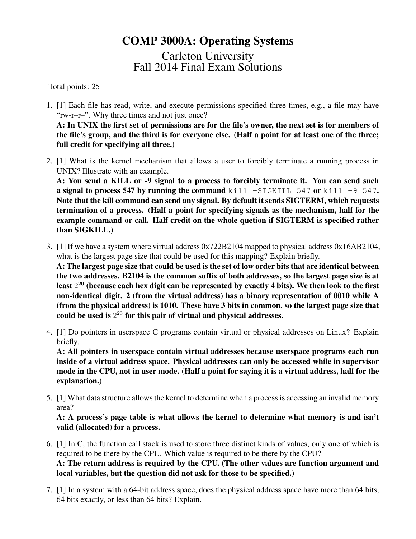## COMP 3000A: Operating Systems

Carleton University Fall 2014 Final Exam Solutions

Total points: 25

- 1. [1] Each file has read, write, and execute permissions specified three times, e.g., a file may have "rw-r–r–". Why three times and not just once? A: In UNIX the first set of permissions are for the file's owner, the next set is for members of the file's group, and the third is for everyone else. (Half a point for at least one of the three; full credit for specifying all three.)
- 2. [1] What is the kernel mechanism that allows a user to forcibly terminate a running process in UNIX? Illustrate with an example.

A: You send a KILL or -9 signal to a process to forcibly terminate it. You can send such a signal to process 547 by running the command kill  $-SIGKILL 547$  or kill -9 547. Note that the kill command can send any signal. By default it sends SIGTERM, which requests termination of a process. (Half a point for specifying signals as the mechanism, half for the example command or call. Half credit on the whole quetion if SIGTERM is specified rather than SIGKILL.)

3. [1] If we have a system where virtual address 0x722B2104 mapped to physical address 0x16AB2104, what is the largest page size that could be used for this mapping? Explain briefly.

A: The largest page size that could be used is the set of low order bits that are identical between the two addresses. B2104 is the common suffix of both addresses, so the largest page size is at least  $2^{20}$  (because each hex digit can be represented by exactly 4 bits). We then look to the first non-identical digit. 2 (from the virtual address) has a binary representation of 0010 while A (from the physical address) is 1010. These have 3 bits in common, so the largest page size that could be used is  $2^{23}$  for this pair of virtual and physical addresses.

4. [1] Do pointers in userspace C programs contain virtual or physical addresses on Linux? Explain briefly.

A: All pointers in userspace contain virtual addresses because userspace programs each run inside of a virtual address space. Physical addresses can only be accessed while in supervisor mode in the CPU, not in user mode. (Half a point for saying it is a virtual address, half for the explanation.)

5. [1] What data structure allows the kernel to determine when a process is accessing an invalid memory area?

A: A process's page table is what allows the kernel to determine what memory is and isn't valid (allocated) for a process.

- 6. [1] In C, the function call stack is used to store three distinct kinds of values, only one of which is required to be there by the CPU. Which value is required to be there by the CPU? A: The return address is required by the CPU. (The other values are function argument and local variables, but the question did not ask for those to be specified.)
- 7. [1] In a system with a 64-bit address space, does the physical address space have more than 64 bits, 64 bits exactly, or less than 64 bits? Explain.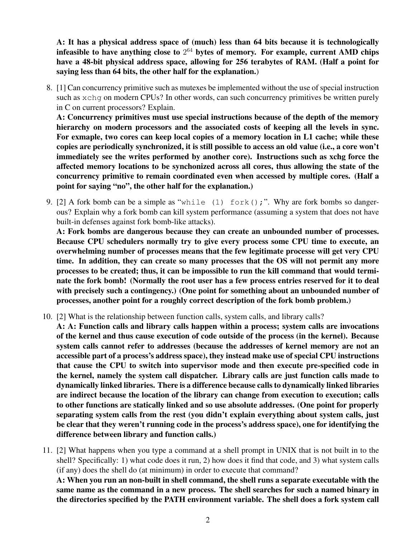A: It has a physical address space of (much) less than 64 bits because it is technologically infeasible to have anything close to  $2^{64}$  bytes of memory. For example, current AMD chips have a 48-bit physical address space, allowing for 256 terabytes of RAM. (Half a point for saying less than 64 bits, the other half for the explanation.)

8. [1] Can concurrency primitive such as mutexes be implemented without the use of special instruction such as xchq on modern CPUs? In other words, can such concurrency primitives be written purely in C on current processors? Explain.

A: Concurrency primitives must use special instructions because of the depth of the memory hierarchy on modern processors and the associated costs of keeping all the levels in sync. For exmaple, two cores can keep local copies of a memory location in L1 cache; while these copies are periodically synchronized, it is still possible to access an old value (i.e., a core won't immediately see the writes performed by another core). Instructions such as xchg force the affected memory locations to be synchonized across all cores, thus allowing the state of the concurrency primitive to remain coordinated even when accessed by multiple cores. (Half a point for saying "no", the other half for the explanation.)

9. [2] A fork bomb can be a simple as "while (1) fork();". Why are fork bombs so dangerous? Explain why a fork bomb can kill system performance (assuming a system that does not have built-in defenses against fork bomb-like attacks).

A: Fork bombs are dangerous because they can create an unbounded number of processes. Because CPU schedulers normally try to give every process some CPU time to execute, an overwhelming number of processes means that the few legitimate processe will get very CPU time. In addition, they can create so many processes that the OS will not permit any more processes to be created; thus, it can be impossible to run the kill command that would terminate the fork bomb! (Normally the root user has a few process entries reserved for it to deal with precisely such a contingency.) (One point for something about an unbounded number of processes, another point for a roughly correct description of the fork bomb problem.)

10. [2] What is the relationship between function calls, system calls, and library calls?

A: A: Function calls and library calls happen within a process; system calls are invocations of the kernel and thus cause execution of code outside of the process (in the kernel). Because system calls cannot refer to addresses (because the addresses of kernel memory are not an accessible part of a process's address space), they instead make use of special CPU instructions that cause the CPU to switch into supervisor mode and then execute pre-specified code in the kernel, namely the system call dispatcher. Library calls are just function calls made to dynamically linked libraries. There is a difference because calls to dynamically linked libraries are indirect because the location of the library can change from execution to execution; calls to other functions are statically linked and so use absolute addresses. (One point for properly separating system calls from the rest (you didn't explain everything about system calls, just be clear that they weren't running code in the process's address space), one for identifying the difference between library and function calls.)

11. [2] What happens when you type a command at a shell prompt in UNIX that is not built in to the shell? Specifically: 1) what code does it run, 2) how does it find that code, and 3) what system calls (if any) does the shell do (at minimum) in order to execute that command?

A: When you run an non-built in shell command, the shell runs a separate executable with the same name as the command in a new process. The shell searches for such a named binary in the directories specified by the PATH environment variable. The shell does a fork system call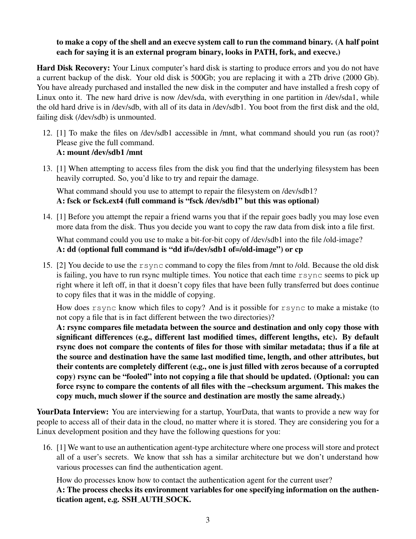## to make a copy of the shell and an execve system call to run the command binary. (A half point each for saying it is an external program binary, looks in PATH, fork, and execve.)

Hard Disk Recovery: Your Linux computer's hard disk is starting to produce errors and you do not have a current backup of the disk. Your old disk is 500Gb; you are replacing it with a 2Tb drive (2000 Gb). You have already purchased and installed the new disk in the computer and have installed a fresh copy of Linux onto it. The new hard drive is now /dev/sda, with everything in one partition in /dev/sda1, while the old hard drive is in /dev/sdb, with all of its data in /dev/sdb1. You boot from the first disk and the old, failing disk (/dev/sdb) is unmounted.

- 12. [1] To make the files on /dev/sdb1 accessible in /mnt, what command should you run (as root)? Please give the full command. A: mount /dev/sdb1 /mnt
- 13. [1] When attempting to access files from the disk you find that the underlying filesystem has been heavily corrupted. So, you'd like to try and repair the damage.

What command should you use to attempt to repair the filesystem on /dev/sdb1? A: fsck or fsck.ext4 (full command is "fsck /dev/sdb1" but this was optional)

14. [1] Before you attempt the repair a friend warns you that if the repair goes badly you may lose even more data from the disk. Thus you decide you want to copy the raw data from disk into a file first.

What command could you use to make a bit-for-bit copy of /dev/sdb1 into the file /old-image? A: dd (optional full command is "dd if=/dev/sdb1 of=/old-image") or cp

15. [2] You decide to use the rsync command to copy the files from /mnt to /old. Because the old disk is failing, you have to run rsync multiple times. You notice that each time rsync seems to pick up right where it left off, in that it doesn't copy files that have been fully transferred but does continue to copy files that it was in the middle of copying.

How does rsync know which files to copy? And is it possible for rsync to make a mistake (to not copy a file that is in fact different between the two directories)?

A: rsync compares file metadata between the source and destination and only copy those with significant differences (e.g., different last modified times, different lengths, etc). By default rsync does not compare the contents of files for those with similar metadata; thus if a file at the source and destination have the same last modified time, length, and other attributes, but their contents are completely different (e.g., one is just filled with zeros because of a corrupted copy) rsync can be "fooled" into not copying a file that should be updated. (Optional: you can force rsync to compare the contents of all files with the –checksum argument. This makes the copy much, much slower if the source and destination are mostly the same already.)

YourData Interview: You are interviewing for a startup, YourData, that wants to provide a new way for people to access all of their data in the cloud, no matter where it is stored. They are considering you for a Linux development position and they have the following questions for you:

16. [1] We want to use an authentication agent-type architecture where one process will store and protect all of a user's secrets. We know that ssh has a similar architecture but we don't understand how various processes can find the authentication agent.

How do processes know how to contact the authentication agent for the current user?

A: The process checks its environment variables for one specifying information on the authentication agent, e.g. SSH AUTH SOCK.